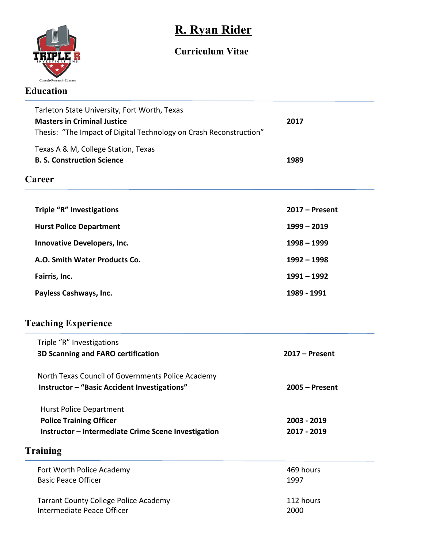

# **R. Ryan Rider**

# **Curriculum Vitae**

| Tarleton State University, Fort Worth, Texas                       |                  |
|--------------------------------------------------------------------|------------------|
| <b>Masters in Criminal Justice</b>                                 | 2017             |
| Thesis: "The Impact of Digital Technology on Crash Reconstruction" |                  |
| Texas A & M, College Station, Texas                                |                  |
| <b>B. S. Construction Science</b>                                  | 1989             |
| Career                                                             |                  |
| <b>Triple "R" Investigations</b>                                   | $2017 -$ Present |
| <b>Hurst Police Department</b>                                     | $1999 - 2019$    |
| <b>Innovative Developers, Inc.</b>                                 | $1998 - 1999$    |
| A.O. Smith Water Products Co.                                      | $1992 - 1998$    |
| Fairris, Inc.                                                      | $1991 - 1992$    |
| Payless Cashways, Inc.                                             | 1989 - 1991      |
| <b>Teaching Experience</b>                                         |                  |
| Triple "R" Investigations                                          |                  |
| 3D Scanning and FARO certification                                 | $2017 -$ Present |
| North Texas Council of Governments Police Academy                  |                  |
| Instructor - "Basic Accident Investigations"                       | $2005 -$ Present |
| <b>Hurst Police Department</b>                                     |                  |
| <b>Police Training Officer</b>                                     | 2003 - 2019      |
| Instructor - Intermediate Crime Scene Investigation                | 2017 - 2019      |
| <b>Training</b>                                                    |                  |
| Fort Worth Police Academy                                          | 469 hours        |
| <b>Basic Peace Officer</b>                                         | 1997             |
| <b>Tarrant County College Police Academy</b>                       | 112 hours        |
| Intermediate Peace Officer                                         | 2000             |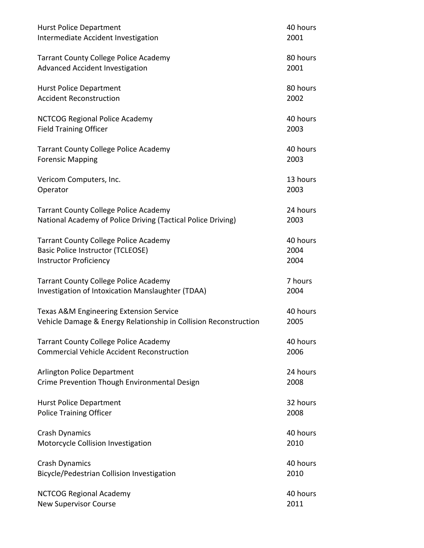| <b>Hurst Police Department</b>                                   | 40 hours |
|------------------------------------------------------------------|----------|
| Intermediate Accident Investigation                              | 2001     |
| <b>Tarrant County College Police Academy</b>                     | 80 hours |
| <b>Advanced Accident Investigation</b>                           | 2001     |
| <b>Hurst Police Department</b>                                   | 80 hours |
| <b>Accident Reconstruction</b>                                   | 2002     |
| <b>NCTCOG Regional Police Academy</b>                            | 40 hours |
| <b>Field Training Officer</b>                                    | 2003     |
| <b>Tarrant County College Police Academy</b>                     | 40 hours |
| <b>Forensic Mapping</b>                                          | 2003     |
| Vericom Computers, Inc.                                          | 13 hours |
| Operator                                                         | 2003     |
| <b>Tarrant County College Police Academy</b>                     | 24 hours |
| National Academy of Police Driving (Tactical Police Driving)     | 2003     |
| <b>Tarrant County College Police Academy</b>                     | 40 hours |
| <b>Basic Police Instructor (TCLEOSE)</b>                         | 2004     |
| <b>Instructor Proficiency</b>                                    | 2004     |
| <b>Tarrant County College Police Academy</b>                     | 7 hours  |
| Investigation of Intoxication Manslaughter (TDAA)                | 2004     |
| Texas A&M Engineering Extension Service                          | 40 hours |
| Vehicle Damage & Energy Relationship in Collision Reconstruction | 2005     |
| <b>Tarrant County College Police Academy</b>                     | 40 hours |
| <b>Commercial Vehicle Accident Reconstruction</b>                | 2006     |
| <b>Arlington Police Department</b>                               | 24 hours |
| Crime Prevention Though Environmental Design                     | 2008     |
| <b>Hurst Police Department</b>                                   | 32 hours |
| <b>Police Training Officer</b>                                   | 2008     |
| <b>Crash Dynamics</b>                                            | 40 hours |
| Motorcycle Collision Investigation                               | 2010     |
| <b>Crash Dynamics</b>                                            | 40 hours |
| Bicycle/Pedestrian Collision Investigation                       | 2010     |
| <b>NCTCOG Regional Academy</b>                                   | 40 hours |
| <b>New Supervisor Course</b>                                     | 2011     |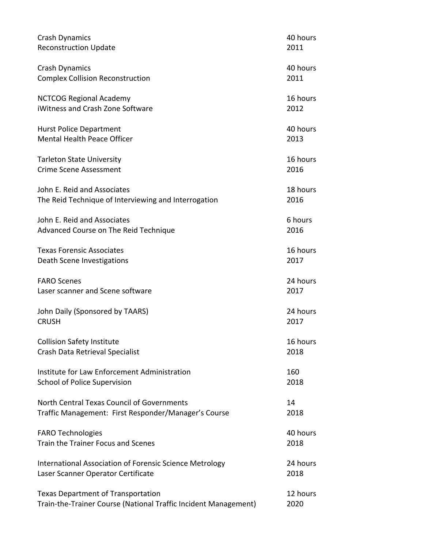| <b>Crash Dynamics</b>                                           | 40 hours |
|-----------------------------------------------------------------|----------|
| <b>Reconstruction Update</b>                                    | 2011     |
| <b>Crash Dynamics</b>                                           | 40 hours |
| <b>Complex Collision Reconstruction</b>                         | 2011     |
| <b>NCTCOG Regional Academy</b>                                  | 16 hours |
| iWitness and Crash Zone Software                                | 2012     |
| <b>Hurst Police Department</b>                                  | 40 hours |
| <b>Mental Health Peace Officer</b>                              | 2013     |
| <b>Tarleton State University</b>                                | 16 hours |
| <b>Crime Scene Assessment</b>                                   | 2016     |
| John E. Reid and Associates                                     | 18 hours |
| The Reid Technique of Interviewing and Interrogation            | 2016     |
| John E. Reid and Associates                                     | 6 hours  |
| Advanced Course on The Reid Technique                           | 2016     |
| <b>Texas Forensic Associates</b>                                | 16 hours |
| Death Scene Investigations                                      | 2017     |
| <b>FARO Scenes</b>                                              | 24 hours |
| Laser scanner and Scene software                                | 2017     |
| John Daily (Sponsored by TAARS)                                 | 24 hours |
| <b>CRUSH</b>                                                    | 2017     |
| <b>Collision Safety Institute</b>                               | 16 hours |
| Crash Data Retrieval Specialist                                 | 2018     |
| Institute for Law Enforcement Administration                    | 160      |
| School of Police Supervision                                    | 2018     |
| North Central Texas Council of Governments                      | 14       |
| Traffic Management: First Responder/Manager's Course            | 2018     |
| <b>FARO Technologies</b>                                        | 40 hours |
| Train the Trainer Focus and Scenes                              | 2018     |
| International Association of Forensic Science Metrology         | 24 hours |
| Laser Scanner Operator Certificate                              | 2018     |
| <b>Texas Department of Transportation</b>                       | 12 hours |
| Train-the-Trainer Course (National Traffic Incident Management) | 2020     |